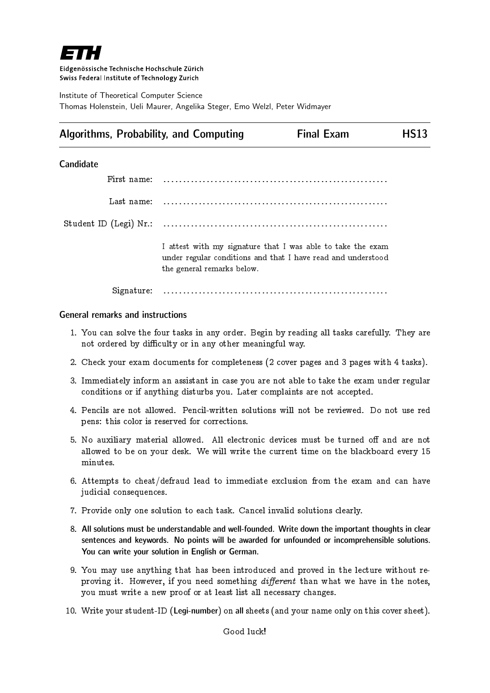

Eidgenössische Technische Hochschule Zürich Swiss Federal Institute of Technology Zurich

Institute of Theoretical Computer Science Thomas Holenstein, Ueli Maurer, Angelika Steger, Emo Welzl, Peter Widmayer

# Algorithms, Probability, and Computing Final Exam Final Exam HS13

### **Candidate**

| First name: |                                                                                                                                                           |
|-------------|-----------------------------------------------------------------------------------------------------------------------------------------------------------|
| Last name:  |                                                                                                                                                           |
|             |                                                                                                                                                           |
|             | I attest with my signature that I was able to take the exam<br>under regular conditions and that I have read and understood<br>the general remarks below. |
| Signature:  |                                                                                                                                                           |

### General remarks and instructions

- 1. You can solve the four tasks in any order. Begin by reading all tasks carefully. They are not ordered by difficulty or in any other meaningful way.
- 2. Check your exam documents for completeness (2 cover pages and 3 pages with 4 tasks).
- 3. Immediately inform an assistant in case you are not able to take the exam under regular conditions or if anything disturbs you. Later complaints are not accepted.
- 4. Pencils are not allowed. Pencil-written solutions will not be reviewed. Do not use red pens: this color is reserved for corrections.
- 5. No auxiliary material allowed. All electronic devices must be turned off and are not allowed to be on your desk. We will write the current time on the blackboard every 15 minutes.
- 6. Attempts to cheat/defraud lead to immediate exclusion from the exam and can have judicial consequences.
- 7. Provide only one solution to each task. Cancel invalid solutions clearly.
- 8. All solutions must be understandable and well-founded. Write down the important thoughts in clear sentences and keywords. No points will be awarded for unfounded or incomprehensible solutions. You can write your solution in English or German.
- 9. You may use anything that has been introduced and proved in the lecture without reproving it. However, if you need something different than what we have in the notes, you must write a new proof or at least list all necessary changes.
- 10. Write your student-ID (Legi-number) on all sheets (and your name only on this cover sheet).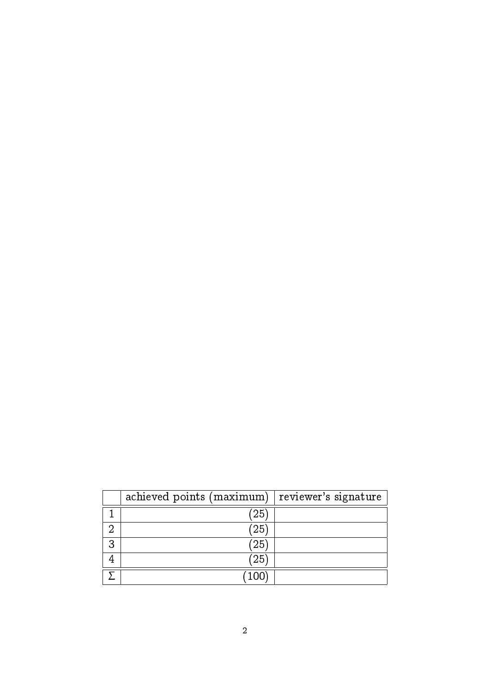|   | achieved points (maximum) | reviewer's signature |
|---|---------------------------|----------------------|
|   | 25                        |                      |
| റ | 25                        |                      |
| 3 | 25                        |                      |
| 4 | $^{\prime}25$             |                      |
|   | 100                       |                      |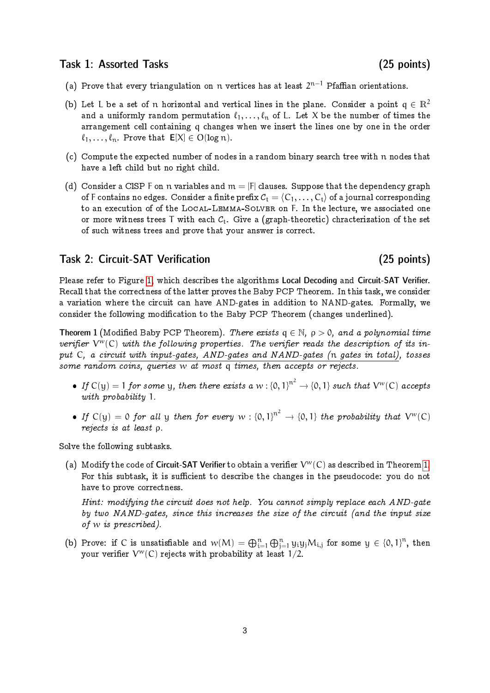## Task 1: Assorted Tasks (25 points)

- (a) Prove that every triangulation on  $\mathfrak n$  vertices has at least  $2^{\mathfrak n-1}$  Pfaffian orientations.
- (b) Let L be a set of n horizontal and vertical lines in the plane. Consider a point  $q \in \mathbb{R}^2$ and a uniformly random permutation  $\ell_1, \ldots, \ell_n$  of L. Let X be the number of times the arrangement cell containing q changes when we insert the lines one by one in the order  $\ell_1, \ldots, \ell_n$ . Prove that  $E[X] \in O(\log n)$ .
- (c) Compute the expected number of nodes in a random binary search tree with n nodes that have a left child but no right child.
- (d) Consider a CISP F on n variables and  $m = |F|$  clauses. Suppose that the dependency graph of F contains no edges. Consider a finite prefix  $C_t = (C_1, \ldots, C_t)$  of a journal corresponding to an execution of of the Local-Lemma-Solver on F. In the lecture, we associated one or more witness trees T with each  $C_t$ . Give a (graph-theoretic) chracterization of the set of such witness trees and prove that your answer is correct.

## Task 2: Circuit-SAT Verification (25 points)

Please refer to Figure [1,](#page-4-0) which describes the algorithms Local Decoding and Circuit-SAT Verifier. Recall that the correctness of the latter proves the Baby PCP Theorem. In this task, we consider a variation where the circuit can have AND-gates in addition to NAND-gates. Formally, we consider the following modification to the Baby PCP Theorem (changes underlined).

<span id="page-2-0"></span>**Theorem 1** (Modified Baby PCP Theorem). There exists  $q \in \mathbb{N}$ ,  $p > 0$ , and a polynomial time verifier  $V^{w}(C)$  with the following properties. The verifier reads the description of its input C, a circuit with input-gates, AND-gates and NAND-gates (n gates in total), tosses some random coins, queries w at most q times, then accepts or rejects.

- If  $C(y) = 1$  for some y, then there exists a w:  ${0, 1}^{n^2} \rightarrow {0, 1}$  such that  $V^w(C)$  accepts with probability 1.
- If  $C(y) = 0$  for all y then for every  $w : \{0,1\}^{n^2} \to \{0,1\}$  the probability that  $V^w(C)$ rejects is at least ρ.

Solve the following subtasks.

(a) Modify the code of **Circuit-SAT Verifier** to obtain a verifier  $V^w(C)$  as described in Theorem [1.](#page-2-0) For this subtask, it is sufficient to describe the changes in the pseudocode: you do not have to prove correctness.

Hint: modifying the circuit does not help. You cannot simply replace each AND-gate by two NAND-gates, since this increases the size of the circuit (and the input size of w is prescribed).

(b) Prove: if C is unsatisfiable and  $w(M) = \bigoplus_{i=1}^n \bigoplus_{j=1}^n y_i y_j M_{i,j}$  for some  $y \in \{0,1\}^n$ , then your verifier  $\mathcal V^w(\mathsf{C})$  rejects with probability at least 1/2.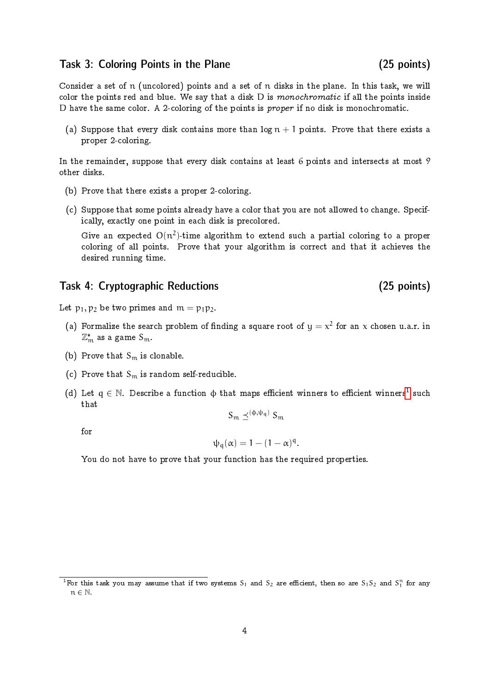### Task 3: Coloring Points in the Plane (25 points)

Consider a set of n (uncolored) points and a set of n disks in the plane. In this task, we will color the points red and blue. We say that a disk  $D$  is monochromatic if all the points inside D have the same color. A 2-coloring of the points is proper if no disk is monochromatic.

(a) Suppose that every disk contains more than  $\log n + 1$  points. Prove that there exists a proper 2-coloring.

In the remainder, suppose that every disk contains at least 6 points and intersects at most 9 other disks.

- (b) Prove that there exists a proper 2-coloring.
- (c) Suppose that some points already have a color that you are not allowed to change. Specifically, exactly one point in each disk is precolored.

Give an expected  $O(n^2)$ -time algorithm to extend such a partial coloring to a proper coloring of all points. Prove that your algorithm is correct and that it achieves the desired running time.

# Task 4: Cryptographic Reductions (25 points)

Let  $p_1, p_2$  be two primes and  $m = p_1p_2$ .

- (a) Formalize the search problem of finding a square root of  $y = x^2$  for an x chosen u.a.r. in  $\mathbb{Z}_\mathfrak{m}^*$  as a game  $S_\mathfrak{m}$ .
- (b) Prove that  $S_m$  is clonable.
- (c) Prove that  $S_m$  is random self-reducible.
- (d) Let  $\mathsf{q}\in\mathbb{N}.$  Describe a function  $\mathsf{\varphi}$  that maps efficient winners to efficient winners<sup>[1](#page-3-0)</sup> such that

$$
S_m \preceq^{(\varphi, \psi_q)} S_m
$$

for

$$
\psi_q(\alpha) = 1 - (1 - \alpha)^q.
$$

You do not have to prove that your function has the required properties.

<span id="page-3-0"></span><sup>&</sup>lt;sup>1</sup> For this task you may assume that if two systems S<sub>1</sub> and S<sub>2</sub> are efficient, then so are S<sub>1</sub>S<sub>2</sub> and S<sup>n</sup> for any  $n \in \mathbb{N}$ .